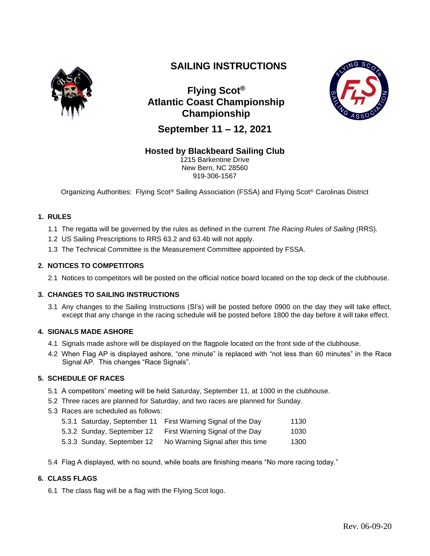

# **SAILING INSTRUCTIONS**

**Flying Scot® Atlantic Coast Championship Championship**



**September 11 – 12, 2021**

## **Hosted by Blackbeard Sailing Club**

1215 Barkentine Drive New Bern, NC 28560 919-306-1567

Organizing Authorities: Flying Scot® Sailing Association (FSSA) and Flying Scot® Carolinas District

## **1. RULES**

- 1.1 The regatta will be governed by the rules as defined in the current *The Racing Rules of Sailing* (RRS)*.*
- 1.2 US Sailing Prescriptions to RRS 63.2 and 63.4b will not apply.
- 1.3 The Technical Committee is the Measurement Committee appointed by FSSA.

## **2. NOTICES TO COMPETITORS**

2.1 Notices to competitors will be posted on the official notice board located on the top deck of the clubhouse.

## **3. CHANGES TO SAILING INSTRUCTIONS**

3.1 Any changes to the Sailing Instructions (SI's) will be posted before 0900 on the day they will take effect*,*  except that any change in the racing schedule will be posted before 1800 the day before it will take effect.

#### **4. SIGNALS MADE ASHORE**

- 4.1 Signals made ashore will be displayed on the flagpole located on the front side of the clubhouse.
- 4.2 When Flag AP is displayed ashore, "one minute" is replaced with "not less than 60 minutes" in the Race Signal AP. This changes "Race Signals".

## **5. SCHEDULE OF RACES**

- 5.1 A competitors' meeting will be held Saturday, September 11, at 1000 in the clubhouse.
- 5.2 Three races are planned for Saturday, and two races are planned for Sunday.
- 5.3 Races are scheduled as follows:

|                            | 5.3.1 Saturday, September 11 First Warning Signal of the Day | 1130 |
|----------------------------|--------------------------------------------------------------|------|
| 5.3.2 Sunday, September 12 | First Warning Signal of the Day                              | 1030 |

- 5.3.3 Sunday, September 12 No Warning Signal after this time 1300
- 5.4 Flag A displayed, with no sound, while boats are finishing means "No more racing today."

## **6. CLASS FLAGS**

6.1 The class flag will be a flag with the Flying Scot logo.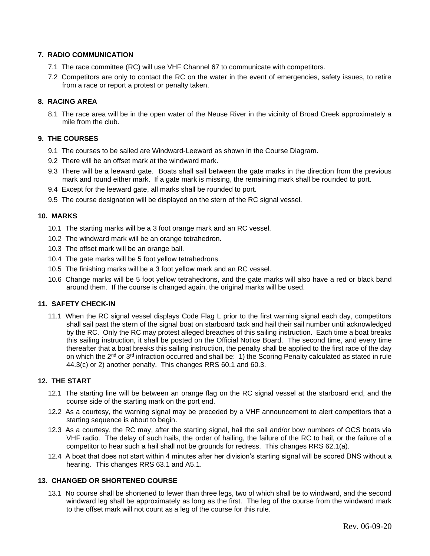#### **7. RADIO COMMUNICATION**

- 7.1 The race committee (RC) will use VHF Channel 67 to communicate with competitors.
- 7.2 Competitors are only to contact the RC on the water in the event of emergencies, safety issues, to retire from a race or report a protest or penalty taken.

#### **8. RACING AREA**

8.1 The race area will be in the open water of the Neuse River in the vicinity of Broad Creek approximately a mile from the club.

## **9. THE COURSES**

- 9.1 The courses to be sailed are Windward-Leeward as shown in the Course Diagram.
- 9.2 There will be an offset mark at the windward mark.
- 9.3 There will be a leeward gate. Boats shall sail between the gate marks in the direction from the previous mark and round either mark. If a gate mark is missing, the remaining mark shall be rounded to port.
- 9.4 Except for the leeward gate, all marks shall be rounded to port.
- 9.5 The course designation will be displayed on the stern of the RC signal vessel.

#### **10. MARKS**

- 10.1 The starting marks will be a 3 foot orange mark and an RC vessel.
- 10.2 The windward mark will be an orange tetrahedron.
- 10.3 The offset mark will be an orange ball.
- 10.4 The gate marks will be 5 foot yellow tetrahedrons.
- 10.5 The finishing marks will be a 3 foot yellow mark and an RC vessel.
- 10.6 Change marks will be 5 foot yellow tetrahedrons, and the gate marks will also have a red or black band around them. If the course is changed again, the original marks will be used.

#### **11. SAFETY CHECK-IN**

11.1 When the RC signal vessel displays Code Flag L prior to the first warning signal each day, competitors shall sail past the stern of the signal boat on starboard tack and hail their sail number until acknowledged by the RC. Only the RC may protest alleged breaches of this sailing instruction. Each time a boat breaks this sailing instruction, it shall be posted on the Official Notice Board. The second time, and every time thereafter that a boat breaks this sailing instruction, the penalty shall be applied to the first race of the day on which the 2nd or 3rd infraction occurred and shall be: 1) the Scoring Penalty calculated as stated in rule 44.3(c) or 2) another penalty. This changes RRS 60.1 and 60.3.

#### **12. THE START**

- 12.1 The starting line will be between an orange flag on the RC signal vessel at the starboard end, and the course side of the starting mark on the port end.
- 12.2 As a courtesy, the warning signal may be preceded by a VHF announcement to alert competitors that a starting sequence is about to begin.
- 12.3 As a courtesy, the RC may, after the starting signal, hail the sail and/or bow numbers of OCS boats via VHF radio. The delay of such hails, the order of hailing, the failure of the RC to hail, or the failure of a competitor to hear such a hail shall not be grounds for redress. This changes RRS 62.1(a).
- 12.4 A boat that does not start within 4 minutes after her division's starting signal will be scored DNS without a hearing. This changes RRS 63.1 and A5.1.

#### **13. CHANGED OR SHORTENED COURSE**

13.1 No course shall be shortened to fewer than three legs, two of which shall be to windward, and the second windward leg shall be approximately as long as the first. The leg of the course from the windward mark to the offset mark will not count as a leg of the course for this rule.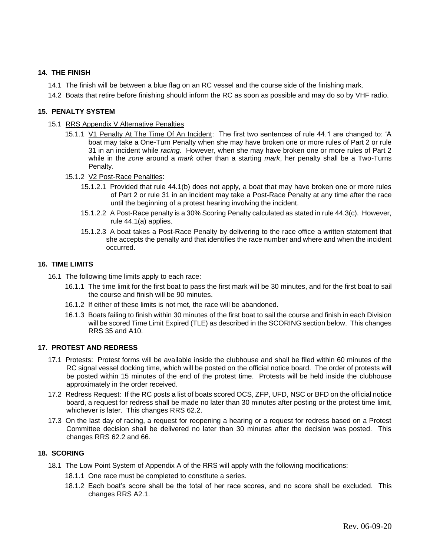#### **14. THE FINISH**

- 14.1 The finish will be between a blue flag on an RC vessel and the course side of the finishing mark.
- 14.2 Boats that retire before finishing should inform the RC as soon as possible and may do so by VHF radio.

#### **15. PENALTY SYSTEM**

- 15.1 RRS Appendix V Alternative Penalties
	- 15.1.1 <u>V1 Penalty At The Time Of An Incident</u>: The first two sentences of rule 44.1 are changed to: 'A boat may take a One-Turn Penalty when she may have broken one or more rules of Part 2 or rule 31 in an incident while *racing*. However, when she may have broken one or more rules of Part 2 while in the *zone* around a *mark* other than a starting *mark*, her penalty shall be a Two-Turns Penalty.
	- 15.1.2 V2 Post-Race Penalties:
		- 15.1.2.1 Provided that rule 44.1(b) does not apply, a boat that may have broken one or more rules of Part 2 or rule 31 in an incident may take a Post-Race Penalty at any time after the race until the beginning of a protest hearing involving the incident.
		- 15.1.2.2 A Post-Race penalty is a 30% Scoring Penalty calculated as stated in rule 44.3(c). However, rule 44.1(a) applies.
		- 15.1.2.3 A boat takes a Post-Race Penalty by delivering to the race office a written statement that she accepts the penalty and that identifies the race number and where and when the incident occurred.

#### **16. TIME LIMITS**

- 16.1 The following time limits apply to each race:
	- 16.1.1 The time limit for the first boat to pass the first mark will be 30 minutes, and for the first boat to sail the course and finish will be 90 minutes.
	- 16.1.2 If either of these limits is not met, the race will be abandoned.
	- 16.1.3 Boats failing to finish within 30 minutes of the first boat to sail the course and finish in each Division will be scored Time Limit Expired (TLE) as described in the SCORING section below. This changes RRS 35 and A10.

#### **17. PROTEST AND REDRESS**

- 17.1 Protests: Protest forms will be available inside the clubhouse and shall be filed within 60 minutes of the RC signal vessel docking time, which will be posted on the official notice board. The order of protests will be posted within 15 minutes of the end of the protest time. Protests will be held inside the clubhouse approximately in the order received.
- 17.2 Redress Request: If the RC posts a list of boats scored OCS, ZFP, UFD, NSC or BFD on the official notice board, a request for redress shall be made no later than 30 minutes after posting or the protest time limit, whichever is later. This changes RRS 62.2.
- 17.3 On the last day of racing, a request for reopening a hearing or a request for redress based on a Protest Committee decision shall be delivered no later than 30 minutes after the decision was posted. This changes RRS 62.2 and 66.

## **18. SCORING**

- 18.1 The Low Point System of Appendix A of the RRS will apply with the following modifications:
	- 18.1.1 One race must be completed to constitute a series.
	- 18.1.2 Each boat's score shall be the total of her race scores, and no score shall be excluded. This changes RRS A2.1.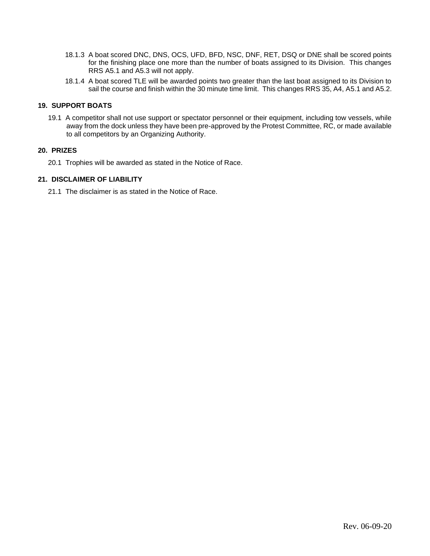- 18.1.3 A boat scored DNC, DNS, OCS, UFD, BFD, NSC, DNF, RET, DSQ or DNE shall be scored points for the finishing place one more than the number of boats assigned to its Division. This changes RRS A5.1 and A5.3 will not apply.
- 18.1.4 A boat scored TLE will be awarded points two greater than the last boat assigned to its Division to sail the course and finish within the 30 minute time limit. This changes RRS 35, A4, A5.1 and A5.2.

#### **19. SUPPORT BOATS**

19.1 A competitor shall not use support or spectator personnel or their equipment, including tow vessels, while away from the dock unless they have been pre-approved by the Protest Committee, RC, or made available to all competitors by an Organizing Authority.

#### **20. PRIZES**

20.1 Trophies will be awarded as stated in the Notice of Race.

#### **21. DISCLAIMER OF LIABILITY**

21.1 The disclaimer is as stated in the Notice of Race.